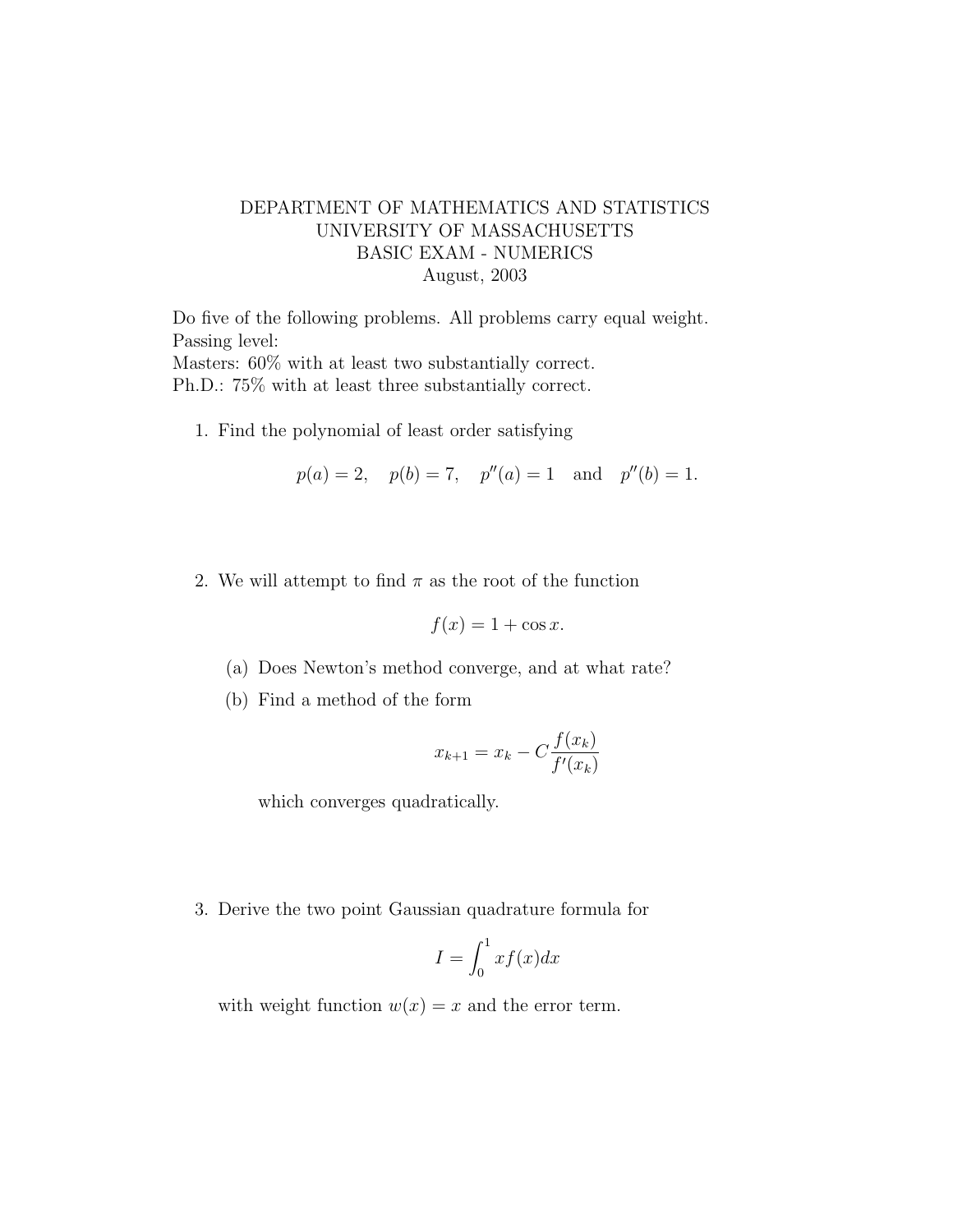## DEPARTMENT OF MATHEMATICS AND STATISTICS UNIVERSITY OF MASSACHUSETTS BASIC EXAM - NUMERICS August, 2003

Do five of the following problems. All problems carry equal weight. Passing level: Masters: 60% with at least two substantially correct. Ph.D.: 75% with at least three substantially correct.

1. Find the polynomial of least order satisfying

$$
p(a) = 2
$$
,  $p(b) = 7$ ,  $p''(a) = 1$  and  $p''(b) = 1$ .

2. We will attempt to find  $\pi$  as the root of the function

$$
f(x) = 1 + \cos x.
$$

- (a) Does Newton's method converge, and at what rate?
- (b) Find a method of the form

$$
x_{k+1} = x_k - C \frac{f(x_k)}{f'(x_k)}
$$

which converges quadratically.

3. Derive the two point Gaussian quadrature formula for

$$
I = \int_0^1 x f(x) dx
$$

with weight function  $w(x) = x$  and the error term.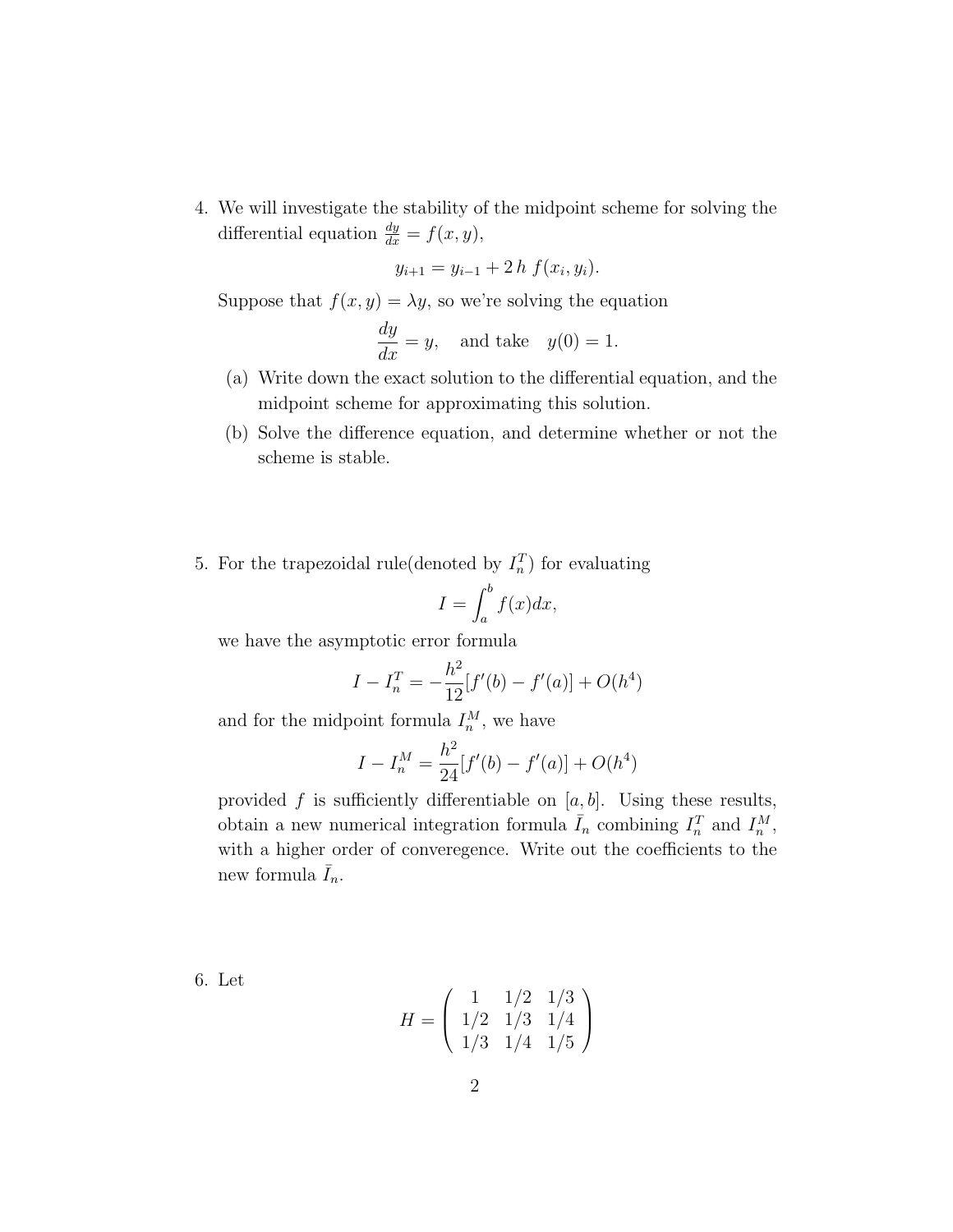4. We will investigate the stability of the midpoint scheme for solving the differential equation  $\frac{dy}{dx} = f(x, y)$ ,

$$
y_{i+1} = y_{i-1} + 2h f(x_i, y_i).
$$

Suppose that  $f(x, y) = \lambda y$ , so we're solving the equation

$$
\frac{dy}{dx} = y, \text{ and take } y(0) = 1.
$$

- (a) Write down the exact solution to the differential equation, and the midpoint scheme for approximating this solution.
- (b) Solve the difference equation, and determine whether or not the scheme is stable.
- 5. For the trapezoidal rule(denoted by  $I_n^T$ ) for evaluating

$$
I = \int_{a}^{b} f(x) dx,
$$

we have the asymptotic error formula

$$
I - I_n^T = -\frac{h^2}{12} [f'(b) - f'(a)] + O(h^4)
$$

and for the midpoint formula  $I_n^M$ , we have

$$
I - I_n^M = \frac{h^2}{24} [f'(b) - f'(a)] + O(h^4)
$$

provided f is sufficiently differentiable on  $[a, b]$ . Using these results, obtain a new numerical integration formula  $\bar{I}_n$  combining  $I_n^T$  and  $I_n^M$ , with a higher order of converegence. Write out the coefficients to the new formula  $I_n$ .

6. Let

$$
H = \left(\begin{array}{rrr} 1 & 1/2 & 1/3 \\ 1/2 & 1/3 & 1/4 \\ 1/3 & 1/4 & 1/5 \end{array}\right)
$$